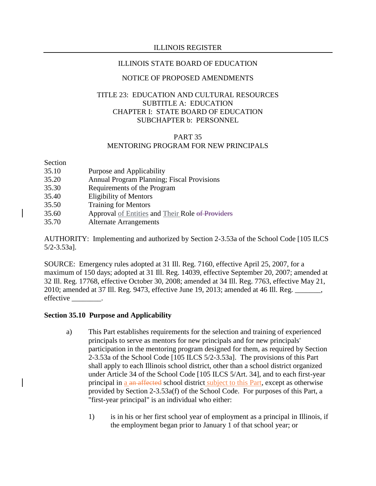#### ILLINOIS STATE BOARD OF EDUCATION

## NOTICE OF PROPOSED AMENDMENTS

# TITLE 23: EDUCATION AND CULTURAL RESOURCES SUBTITLE A: EDUCATION CHAPTER I: STATE BOARD OF EDUCATION SUBCHAPTER b: PERSONNEL

# PART 35

# MENTORING PROGRAM FOR NEW PRINCIPALS

Section

- 35.10 Purpose and Applicability
- 35.20 Annual Program Planning; Fiscal Provisions
- 35.30 Requirements of the Program
- 35.40 Eligibility of Mentors
- 35.50 Training for Mentors
- 35.60 Approval of Entities and Their Role of Providers
- 35.70 Alternate Arrangements

AUTHORITY: Implementing and authorized by Section 2-3.53a of the School Code [105 ILCS 5/2-3.53a].

SOURCE: Emergency rules adopted at 31 Ill. Reg. 7160, effective April 25, 2007, for a maximum of 150 days; adopted at 31 Ill. Reg. 14039, effective September 20, 2007; amended at 32 Ill. Reg. 17768, effective October 30, 2008; amended at 34 Ill. Reg. 7763, effective May 21, 2010; amended at 37 Ill. Reg. 9473, effective June 19, 2013; amended at 46 Ill. Reg. \_\_\_\_\_\_\_, effective \_\_\_\_\_\_\_\_.

#### **Section 35.10 Purpose and Applicability**

- a) This Part establishes requirements for the selection and training of experienced principals to serve as mentors for new principals and for new principals' participation in the mentoring program designed for them, as required by Section 2-3.53a of the School Code [105 ILCS 5/2-3.53a]. The provisions of this Part shall apply to each Illinois school district, other than a school district organized under Article 34 of the School Code [105 ILCS 5/Art. 34], and to each first-year principal in a an affected school district subject to this Part, except as otherwise provided by Section 2-3.53a(f) of the School Code. For purposes of this Part, a "first-year principal" is an individual who either:
	- 1) is in his or her first school year of employment as a principal in Illinois, if the employment began prior to January 1 of that school year; or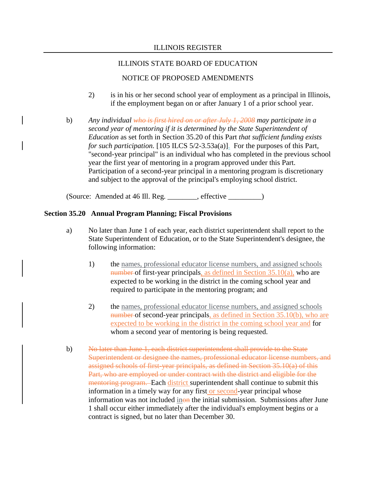# NOTICE OF PROPOSED AMENDMENTS

- 2) is in his or her second school year of employment as a principal in Illinois, if the employment began on or after January 1 of a prior school year.
- b) *Any individual who is first hired on or after July 1, 2008 may participate in a second year of mentoring if it is determined by the State Superintendent of Education* as set forth in Section 35.20 of this Part *that sufficient funding exists for such participation.* [105 ILCS 5/2-3.53a(a)]. For the purposes of this Part, "second-year principal" is an individual who has completed in the previous school year the first year of mentoring in a program approved under this Part. Participation of a second-year principal in a mentoring program is discretionary and subject to the approval of the principal's employing school district.

(Source: Amended at 46 Ill. Reg. \_\_\_\_\_\_\_\_, effective \_\_\_\_\_\_\_\_\_)

# **Section 35.20 Annual Program Planning; Fiscal Provisions**

- a) No later than June 1 of each year, each district superintendent shall report to the State Superintendent of Education, or to the State Superintendent's designee, the following information:
	- 1) the names, professional educator license numbers, and assigned schools number of first-year principals, as defined in Section  $35.10(a)$ , who are expected to be working in the district in the coming school year and required to participate in the mentoring program; and
	- 2) the names, professional educator license numbers, and assigned schools number of second-year principals, as defined in Section 35.10(b), who are expected to be working in the district in the coming school year and for whom a second year of mentoring is being requested.
- b) No later than June 1, each district superintendent shall provide to the State Superintendent or designee the names, professional educator license numbers, and assigned schools of first-year principals, as defined in Section 35.10(a) of this Part, who are employed or under contract with the district and eligible for the mentoring program. Each district superintendent shall continue to submit this information in a timely way for any first or second-year principal whose information was not included inon the initial submission. Submissions after June 1 shall occur either immediately after the individual's employment begins or a contract is signed, but no later than December 30.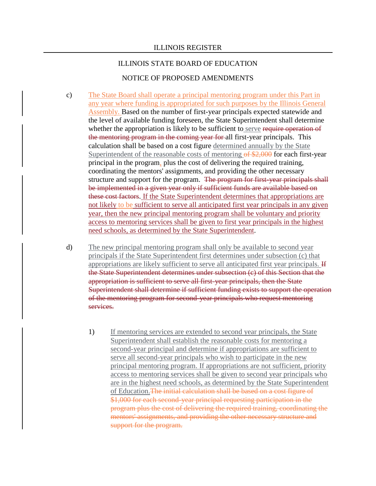#### ILLINOIS STATE BOARD OF EDUCATION

#### NOTICE OF PROPOSED AMENDMENTS

- c) The State Board shall operate a principal mentoring program under this Part in any year where funding is appropriated for such purposes by the Illinois General Assembly. Based on the number of first-year principals expected statewide and the level of available funding foreseen, the State Superintendent shall determine whether the appropriation is likely to be sufficient to serve require operation of the mentoring program in the coming year for all first-year principals. This calculation shall be based on a cost figure determined annually by the State Superintendent of the reasonable costs of mentoring of \$2,000 for each first-year principal in the program, plus the cost of delivering the required training, coordinating the mentors' assignments, and providing the other necessary structure and support for the program. The program for first-year principals shall be implemented in a given year only if sufficient funds are available based on these cost factors. If the State Superintendent determines that appropriations are not likely to be sufficient to serve all anticipated first year principals in any given year, then the new principal mentoring program shall be voluntary and priority access to mentoring services shall be given to first year principals in the highest need schools, as determined by the State Superintendent.
- d) The new principal mentoring program shall only be available to second year principals if the State Superintendent first determines under subsection (c) that appropriations are likely sufficient to serve all anticipated first year principals. If the State Superintendent determines under subsection (c) of this Section that the appropriation is sufficient to serve all first-year principals, then the State Superintendent shall determine if sufficient funding exists to support the operation of the mentoring program for second-year principals who request mentoring services.
	- 1) If mentoring services are extended to second year principals, the State Superintendent shall establish the reasonable costs for mentoring a second-year principal and determine if appropriations are sufficient to serve all second-year principals who wish to participate in the new principal mentoring program. If appropriations are not sufficient, priority access to mentoring services shall be given to second year principals who are in the highest need schools, as determined by the State Superintendent of Education.The initial calculation shall be based on a cost figure of \$1,000 for each second-year principal requesting participation in the program plus the cost of delivering the required training, coordinating the mentors' assignments, and providing the other necessary structure and support for the program.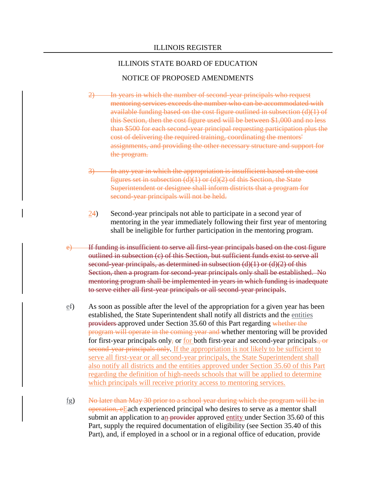#### NOTICE OF PROPOSED AMENDMENTS

- In years in which the number of second-year principals who request mentoring services exceeds the number who can be accommodated with available funding based on the cost figure outlined in subsection (d)(1) of this Section, then the cost figure used will be between \$1,000 and no less than \$500 for each second-year principal requesting participation plus the cost of delivering the required training, coordinating the mentors' assignments, and providing the other necessary structure and support for the program.
- 3) In any year in which the appropriation is insufficient based on the cost figures set in subsection  $(d)(1)$  or  $(d)(2)$  of this Section, the State Superintendent or designee shall inform districts that a program for second-year principals will not be held.
- $\frac{24}{2}$  Second-year principals not able to participate in a second year of mentoring in the year immediately following their first year of mentoring shall be ineligible for further participation in the mentoring program.
- e) If funding is insufficient to serve all first-year principals based on the cost figure outlined in subsection (c) of this Section, but sufficient funds exist to serve all second-year principals, as determined in subsection (d)(1) or (d)(2) of this Section, then a program for second-year principals only shall be established. No mentoring program shall be implemented in years in which funding is inadequate to serve either all first-year principals or all second-year principals.
- ef) As soon as possible after the level of the appropriation for a given year has been established, the State Superintendent shall notify all districts and the entities providers approved under Section 35.60 of this Part regarding whether the program will operate in the coming year and whether mentoring will be provided for first-year principals only, or <u>for</u> both first-year and second-year principals., or second-year principals only. If the appropriation is not likely to be sufficient to serve all first-year or all second-year principals, the State Superintendent shall also notify all districts and the entities approved under Section 35.60 of this Part regarding the definition of high-needs schools that will be applied to determine which principals will receive priority access to mentoring services.
- fg) No later than May 30 prior to a school year during which the program will be in operation, eEach experienced principal who desires to serve as a mentor shall submit an application to an provider approved entity under Section 35.60 of this Part, supply the required documentation of eligibility (see Section 35.40 of this Part), and, if employed in a school or in a regional office of education, provide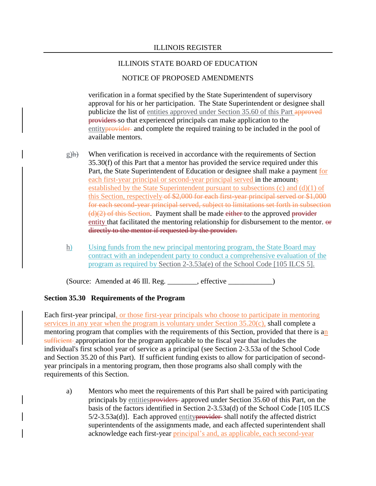# NOTICE OF PROPOSED AMENDMENTS

verification in a format specified by the State Superintendent of supervisory approval for his or her participation. The State Superintendent or designee shall publicize the list of entities approved under Section 35.60 of this Part approved providers so that experienced principals can make application to the entityprovider and complete the required training to be included in the pool of available mentors.

- $g$ )h) When verification is received in accordance with the requirements of Section 35.30(f) of this Part that a mentor has provided the service required under this Part, the State Superintendent of Education or designee shall make a payment for each first-year principal or second-year principal served in the amounts established by the State Superintendent pursuant to subsections (c) and (d)(1) of this Section, respectively of \$2,000 for each first-year principal served or \$1,000 for each second-year principal served, subject to limitations set forth in subsection  $(d)(2)$  of this Section. Payment shall be made either to the approved provider entity that facilitated the mentoring relationship for disbursement to the mentor. or directly to the mentor if requested by the provider.
- h) Using funds from the new principal mentoring program, the State Board may contract with an independent party to conduct a comprehensive evaluation of the program as required by Section 2-3.53a(e) of the School Code [105 ILCS 5].

 $(Source: Amented at 46 Ill. Reg. \_ , effective \_ )$ 

# **Section 35.30 Requirements of the Program**

Each first-year principal, or those first-year principals who choose to participate in mentoring services in any year when the program is voluntary under Section 35.20(c), shall complete a mentoring program that complies with the requirements of this Section, provided that there is an sufficient appropriation for the program applicable to the fiscal year that includes the individual's first school year of service as a principal (see Section 2-3.53a of the School Code and Section 35.20 of this Part). If sufficient funding exists to allow for participation of secondyear principals in a mentoring program, then those programs also shall comply with the requirements of this Section.

a) Mentors who meet the requirements of this Part shall be paired with participating principals by entitiesproviders approved under Section 35.60 of this Part, on the basis of the factors identified in Section 2-3.53a(d) of the School Code [105 ILCS  $5/2$ -3.53a(d)]. Each approved entity provider shall notify the affected district superintendents of the assignments made, and each affected superintendent shall acknowledge each first-year principal's and, as applicable, each second-year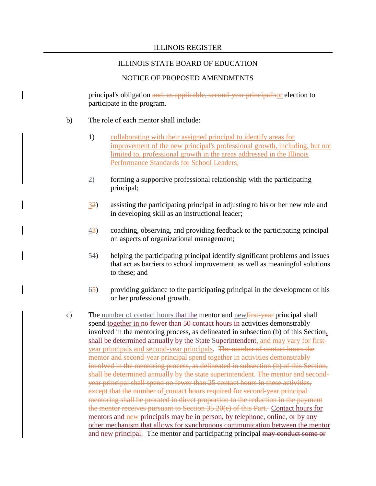#### NOTICE OF PROPOSED AMENDMENTS

principal's obligation and, as applicable, second-year principal'sor election to participate in the program.

- b) The role of each mentor shall include:
	- 1) collaborating with their assigned principal to identify areas for improvement of the new principal's professional growth, including, but not limited to, professional growth in the areas addressed in the Illinois Performance Standards for School Leaders;
	- 2) forming a supportive professional relationship with the participating principal;
	- 32) assisting the participating principal in adjusting to his or her new role and in developing skill as an instructional leader;
	- 43) coaching, observing, and providing feedback to the participating principal on aspects of organizational management;
	- $54$ ) helping the participating principal identify significant problems and issues that act as barriers to school improvement, as well as meaningful solutions to these; and
	- 65) providing guidance to the participating principal in the development of his or her professional growth.
- c) The number of contact hours that the mentor and new  $\frac{1}{1 + \epsilon}$  respectively shall spend together in no fewer than 50 contact hours in activities demonstrably involved in the mentoring process, as delineated in subsection (b) of this Section, shall be determined annually by the State Superintendent, and may vary for firstyear principals and second-year principals. The number of contact hours the mentor and second-year principal spend together in activities demonstrably involved in the mentoring process, as delineated in subsection (b) of this Section, shall be determined annually by the state superintendent. The mentor and secondyear principal shall spend no fewer than 25 contact hours in these activities, except that the number of contact hours required for second-year principal mentoring shall be prorated in direct proportion to the reduction in the payment the mentor receives pursuant to Section 35.20(e) of this Part. Contact hours for mentors and new principals may be in person, by telephone, online, or by any other mechanism that allows for synchronous communication between the mentor and new principal. The mentor and participating principal may conduct some or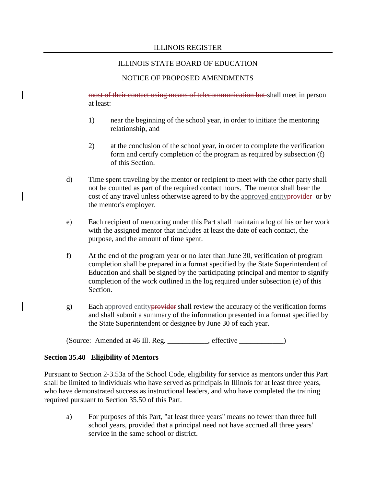## NOTICE OF PROPOSED AMENDMENTS

most of their contact using means of telecommunication but shall meet in person at least:

- 1) near the beginning of the school year, in order to initiate the mentoring relationship, and
- 2) at the conclusion of the school year, in order to complete the verification form and certify completion of the program as required by subsection (f) of this Section.
- d) Time spent traveling by the mentor or recipient to meet with the other party shall not be counted as part of the required contact hours. The mentor shall bear the cost of any travel unless otherwise agreed to by the approved entity provider or by the mentor's employer.
- e) Each recipient of mentoring under this Part shall maintain a log of his or her work with the assigned mentor that includes at least the date of each contact, the purpose, and the amount of time spent.
- f) At the end of the program year or no later than June 30, verification of program completion shall be prepared in a format specified by the State Superintendent of Education and shall be signed by the participating principal and mentor to signify completion of the work outlined in the log required under subsection (e) of this Section.
- g) Each approved entityprovider shall review the accuracy of the verification forms and shall submit a summary of the information presented in a format specified by the State Superintendent or designee by June 30 of each year.

(Source: Amended at 46 Ill. Reg. \_\_\_\_\_\_\_\_\_\_\_, effective \_\_\_\_\_\_\_\_\_\_\_\_)

#### **Section 35.40 Eligibility of Mentors**

Pursuant to Section 2-3.53a of the School Code, eligibility for service as mentors under this Part shall be limited to individuals who have served as principals in Illinois for at least three years, who have demonstrated success as instructional leaders, and who have completed the training required pursuant to Section 35.50 of this Part.

a) For purposes of this Part, "at least three years" means no fewer than three full school years, provided that a principal need not have accrued all three years' service in the same school or district.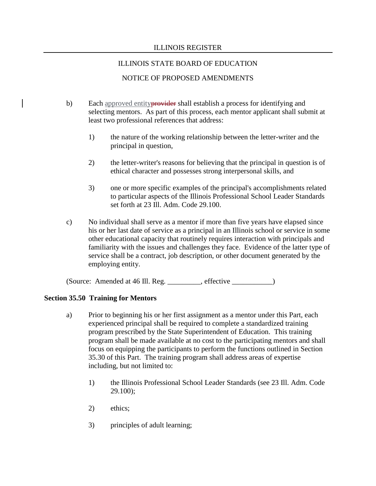## ILLINOIS STATE BOARD OF EDUCATION

# NOTICE OF PROPOSED AMENDMENTS

- b) Each approved entityprovider shall establish a process for identifying and selecting mentors. As part of this process, each mentor applicant shall submit at least two professional references that address:
	- 1) the nature of the working relationship between the letter-writer and the principal in question,
	- 2) the letter-writer's reasons for believing that the principal in question is of ethical character and possesses strong interpersonal skills, and
	- 3) one or more specific examples of the principal's accomplishments related to particular aspects of the Illinois Professional School Leader Standards set forth at 23 Ill. Adm. Code 29.100.
- c) No individual shall serve as a mentor if more than five years have elapsed since his or her last date of service as a principal in an Illinois school or service in some other educational capacity that routinely requires interaction with principals and familiarity with the issues and challenges they face. Evidence of the latter type of service shall be a contract, job description, or other document generated by the employing entity.

(Source: Amended at 46 Ill. Reg. \_\_\_\_\_\_\_\_\_, effective \_\_\_\_\_\_\_\_\_\_\_)

#### **Section 35.50 Training for Mentors**

- a) Prior to beginning his or her first assignment as a mentor under this Part, each experienced principal shall be required to complete a standardized training program prescribed by the State Superintendent of Education. This training program shall be made available at no cost to the participating mentors and shall focus on equipping the participants to perform the functions outlined in Section 35.30 of this Part. The training program shall address areas of expertise including, but not limited to:
	- 1) the Illinois Professional School Leader Standards (see 23 Ill. Adm. Code 29.100);
	- 2) ethics;
	- 3) principles of adult learning;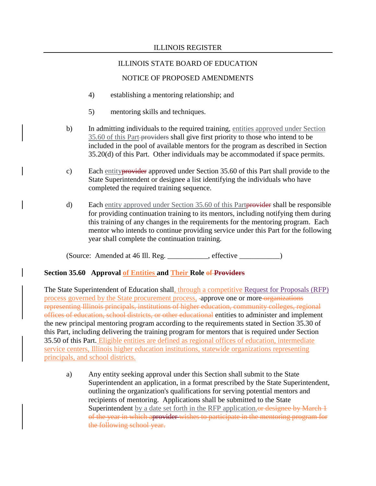# ILLINOIS STATE BOARD OF EDUCATION

# NOTICE OF PROPOSED AMENDMENTS

- 4) establishing a mentoring relationship; and
- 5) mentoring skills and techniques.
- b) In admitting individuals to the required training, entities approved under Section 35.60 of this Part providers shall give first priority to those who intend to be included in the pool of available mentors for the program as described in Section 35.20(d) of this Part. Other individuals may be accommodated if space permits.
- c) Each entityprovider approved under Section 35.60 of this Part shall provide to the State Superintendent or designee a list identifying the individuals who have completed the required training sequence.
- d) Each entity approved under Section 35.60 of this Partprovider shall be responsible for providing continuation training to its mentors, including notifying them during this training of any changes in the requirements for the mentoring program. Each mentor who intends to continue providing service under this Part for the following year shall complete the continuation training.

(Source: Amended at 46 Ill. Reg. \_\_\_\_\_\_\_\_\_\_\_, effective \_\_\_\_\_\_\_\_\_\_\_)

#### **Section 35.60 Approval of Entities and Their Role of Providers**

The State Superintendent of Education shall, through a competitive Request for Proposals (RFP) process governed by the State procurement process, approve one or more organizations representing Illinois principals, institutions of higher education, community colleges, regional offices of education, school districts, or other educational entities to administer and implement the new principal mentoring program according to the requirements stated in Section 35.30 of this Part, including delivering the training program for mentors that is required under Section 35.50 of this Part. Eligible entities are defined as regional offices of education, intermediate service centers, Illinois higher education institutions, statewide organizations representing principals, and school districts.

a) Any entity seeking approval under this Section shall submit to the State Superintendent an application, in a format prescribed by the State Superintendent, outlining the organization's qualifications for serving potential mentors and recipients of mentoring. Applications shall be submitted to the State Superintendent by a date set forth in the RFP application. Or designee by March 1 of the year in which aprovider wishes to participate in the mentoring program for the following school year.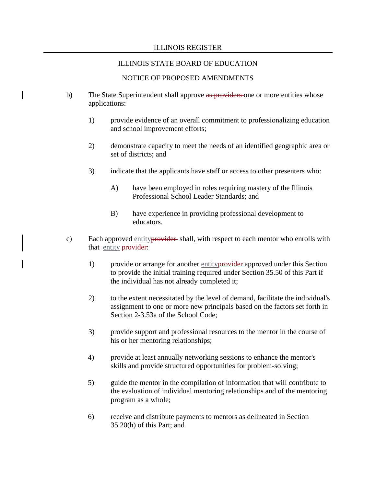## ILLINOIS STATE BOARD OF EDUCATION

#### NOTICE OF PROPOSED AMENDMENTS

- b) The State Superintendent shall approve as providers one or more entities whose applications:
	- 1) provide evidence of an overall commitment to professionalizing education and school improvement efforts;
	- 2) demonstrate capacity to meet the needs of an identified geographic area or set of districts; and
	- 3) indicate that the applicants have staff or access to other presenters who:
		- A) have been employed in roles requiring mastery of the Illinois Professional School Leader Standards; and
		- B) have experience in providing professional development to educators.
- c) Each approved entity **provider** shall, with respect to each mentor who enrolls with that-entity provider:
	- 1) provide or arrange for another entityprovider approved under this Section to provide the initial training required under Section 35.50 of this Part if the individual has not already completed it;
	- 2) to the extent necessitated by the level of demand, facilitate the individual's assignment to one or more new principals based on the factors set forth in Section 2-3.53a of the School Code;
	- 3) provide support and professional resources to the mentor in the course of his or her mentoring relationships;
	- 4) provide at least annually networking sessions to enhance the mentor's skills and provide structured opportunities for problem-solving;
	- 5) guide the mentor in the compilation of information that will contribute to the evaluation of individual mentoring relationships and of the mentoring program as a whole;
	- 6) receive and distribute payments to mentors as delineated in Section 35.20(h) of this Part; and